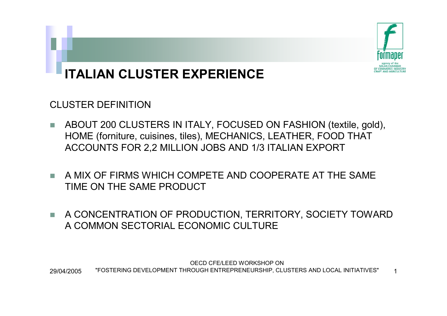

# **ITALIAN CLUSTER EXPERIENCE**

CLUSTER DEFINITION

- T. ABOUT 200 CLUSTERS IN ITALY, FOCUSED ON FASHION (textile, gold), HOME (forniture, cuisines, tiles), MECHANICS, LEATHER, FOOD THAT ACCOUNTS FOR 2,2 MILLION JOBS AND 1/3 ITALIAN EXPORT
- **T**  A MIX OF FIRMS WHICH COMPETE AND COOPERATE AT THE SAME TIME ON THE SAME PRODUCT
- n. A CONCENTRATION OF PRODUCTION, TERRITORY, SOCIETY TOWARD A COMMON SECTORIAL ECONOMIC CULTURE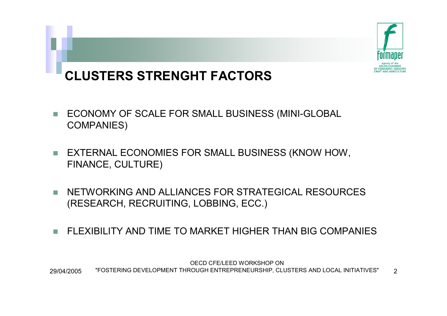

# **CLUSTERS STRENGHT FACTORS**

- **The**  ECONOMY OF SCALE FOR SMALL BUSINESS (MINI-GLOBAL COMPANIES)
- $\blacksquare$  EXTERNAL ECONOMIES FOR SMALL BUSINESS (KNOW HOW, FINANCE, CULTURE)
- г NETWORKING AND ALLIANCES FOR STRATEGICAL RESOURCES (RESEARCH, RECRUITING, LOBBING, ECC.)
- FLEXIBILITY AND TIME TO MARKET HIGHER THAN BIG COMPANIES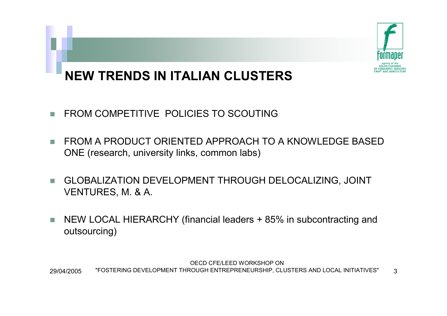

# **NEW TRENDS IN ITALIAN CLUSTERS**

- $\mathcal{L}_{\mathcal{A}}$ FROM COMPETITIVE POLICIES TO SCOUTING
- $\mathcal{L}_{\mathcal{A}}$  FROM A PRODUCT ORIENTED APPROACH TO A KNOWLEDGE BASED ONE (research, university links, common labs)
- **Tale**  GLOBALIZATION DEVELOPMENT THROUGH DELOCALIZING, JOINT VENTURES, M. & A.
- T. NEW LOCAL HIERARCHY (financial leaders + 85% in subcontracting and outsourcing)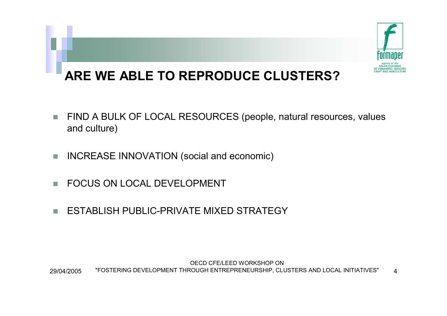

## **ARE WE ABLE TO REPRODUCE CLUSTERS?**

- г FIND A BULK OF LOCAL RESOURCES (people, natural resources, values and culture)
- $\overline{\phantom{a}}$ INCREASE INNOVATION (social and economic)
- г FOCUS ON LOCAL DEVELOPMENT
- г ESTABLISH PUBLIC-PRIVATE MIXED STRATEGY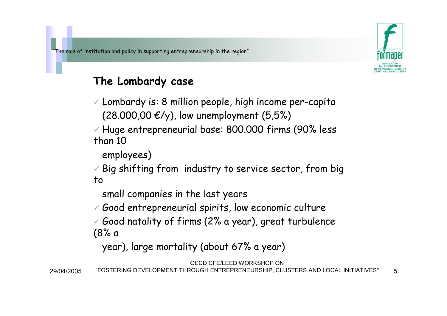

#### **The Lombardy case**

 $\checkmark$  Lombardy is: 8 million people, high income per-capita (28.000,00 €/y), low unemployment  $(5,5%)$ 

 $\checkmark$  Huge entrepreneurial base: 800.000 firms (90% less than 10

employees)

 $\checkmark$  Big shifting from industry to service sector, from big to

small companies in the last years

 $\checkmark$  Good entrepreneurial spirits, low economic culture

 $\checkmark$  Good natality of firms (2% a year), great turbulence (8% a

year), large mortality (about 67% a year)

OECD CFE/LEED WORKSHOP ON

29/04/2005"FOSTERING DEVELOPMENT THROUGH ENTREPRENEURSHIP, CLUSTERS AND LOCAL INITIATIVES" 5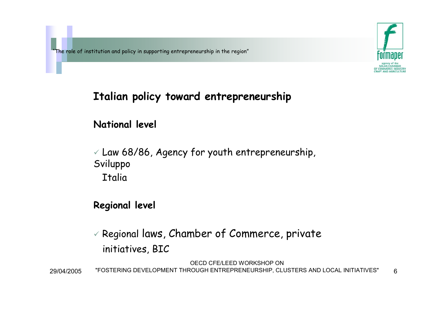

#### **Italian policy toward entrepreneurship**

#### **National level**

 $\checkmark$  Law 68/86, Agency for youth entrepreneurship, Sviluppo **Italia** 

#### **Regional level**

 $\checkmark$  Regional laws, Chamber of Commerce, private initiatives, BIC

OECD CFE/LEED WORKSHOP ON 29/04/2005"FOSTERING DEVELOPMENT THROUGH ENTREPRENEURSHIP, CLUSTERS AND LOCAL INITIATIVES" 6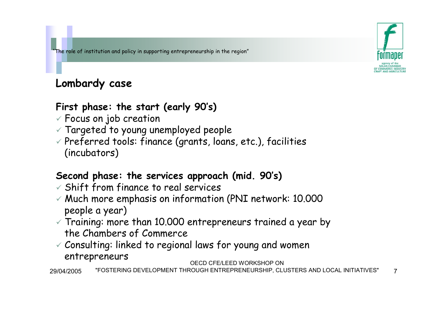### **Lombardy case**

#### **First phase: the start (early 90's)**

- $\checkmark$  Focus on job creation
- $\checkmark$  Targeted to young unemployed people  $\checkmark$
- $\checkmark$  Preferred tools: finance (grants, loans, etc.), facilities (incubators)

#### **Second phase: the services approach (mid. 90's)**

- $\checkmark$  Shift from finance to real services
- $\checkmark$  Much more emphasis on information (PNI network: 10.000  $\checkmark$ people a year)
- $\checkmark$  Training: more than 10.000 entrepreneurs trained a year by the Chambers of Commerce
- $\checkmark$  Consulting: linked to regional laws for young and women entrepreneurs

#### OECD CFE/LEED WORKSHOP ON

29/04/2005"FOSTERING DEVELOPMENT THROUGH ENTREPRENEURSHIP, CLUSTERS AND LOCAL INITIATIVES" 7

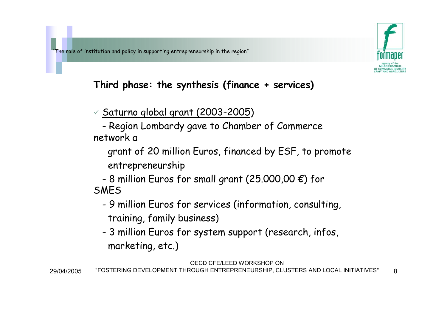

#### **Third phase: the synthesis (finance + services)**

 $\times$  <u>Saturno global grant (2003-2005</u>)

- Region Lombardy gave to Chamber of Commerce network a

grant of 20 million Euros, financed by ESF, to promote entrepreneurship

-8 million Euros for small grant (25.000,00  $\bm{\epsilon}$ ) for SMES

- - 9 million Euros for services (information, consulting, training, family business)
- - 3 million Euros for system support (research, infos, marketing, etc.)

29/04/2005"FOSTERING DEVELOPMENT THROUGH ENTREPRENEURSHIP, CLUSTERS AND LOCAL INITIATIVES" 8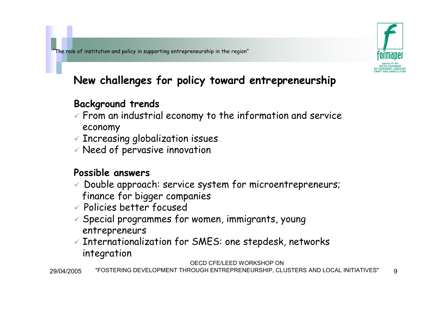

### **New challenges for policy toward entrepreneurship**

#### **Background trends**

- $\checkmark$  From an industrial economy to the information and service economy
- $\checkmark$  Increasing globalization issues
- $\checkmark$  Need of pervasive innovation

#### **Possible answers**

- $\checkmark$  Double approach: service system for microentrepreneurs; finance for bigger companies
- $\checkmark$  Policies better focused
- $\checkmark$  Special programmes for women, immigrants, young entrepreneurs
- $\checkmark$  Internationalization for SMES: one stepdesk, networks integration

OECD CFE/LEED WORKSHOP ON

29/04/2005"FOSTERING DEVELOPMENT THROUGH ENTREPRENEURSHIP, CLUSTERS AND LOCAL INITIATIVES" 9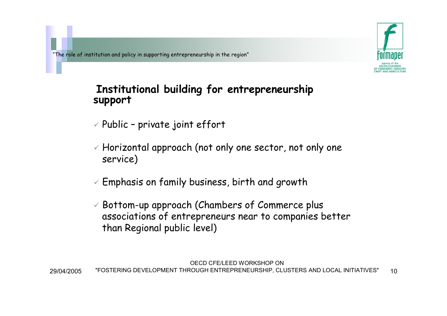

# **Institutional building for entrepreneurship support**

- $\checkmark$  Public private joint effort
- $\checkmark$  Horizontal approach (not only one sector, not only one service)
- $\checkmark$  Emphasis on family business, birth and growth
- $\checkmark$  Bottom-up approach (Chambers of Commerce plus  $\checkmark$ associations of entrepreneurs near to companies better than Regional public level)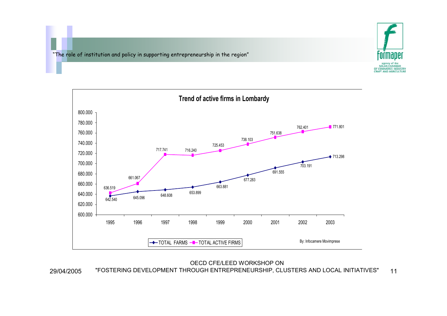29/04/2005





OECD CFE/LEED WORKSHOP ON "FOSTERING DEVELOPMENT THROUGH ENTREPRENEURSHIP, CLUSTERS AND LOCAL INITIATIVES" 11